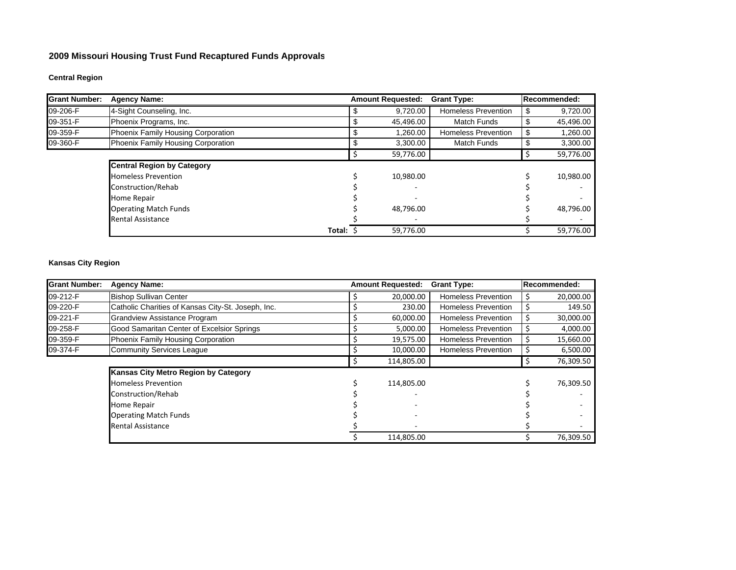### **2009 Missouri Housing Trust Fund Recaptured Funds Approval s**

# **Central Region**

| <b>Grant Number:</b> | <b>Agency Name:</b>                | <b>Amount Requested:</b> | <b>Grant Type:</b>         | Recommended: |
|----------------------|------------------------------------|--------------------------|----------------------------|--------------|
| 09-206-F             | 4-Sight Counseling, Inc.           | 9,720.00                 | <b>Homeless Prevention</b> | 9,720.00     |
| 09-351-F             | Phoenix Programs, Inc.             | 45,496.00                | <b>Match Funds</b>         | 45,496.00    |
| 09-359-F             | Phoenix Family Housing Corporation | 1,260.00                 | <b>Homeless Prevention</b> | 1,260.00     |
| 09-360-F             | Phoenix Family Housing Corporation | 3,300.00                 | <b>Match Funds</b>         | 3,300.00     |
|                      |                                    | 59,776.00                |                            | 59,776.00    |
|                      | <b>Central Region by Category</b>  |                          |                            |              |
|                      | <b>Homeless Prevention</b>         | 10,980.00                |                            | 10,980.00    |
|                      | Construction/Rehab                 |                          |                            |              |
|                      | Home Repair                        |                          |                            |              |
|                      | <b>Operating Match Funds</b>       | 48.796.00                |                            | 48,796.00    |
|                      | <b>Rental Assistance</b>           |                          |                            |              |
|                      | Total: \$                          | 59,776.00                |                            | 59,776.00    |

# **Kansas City Region**

| <b>Grant Number:</b> | <b>Agency Name:</b>                                | <b>Amount Requested:</b> | <b>Grant Type:</b>         | Recommended: |
|----------------------|----------------------------------------------------|--------------------------|----------------------------|--------------|
| 09-212-F             | <b>Bishop Sullivan Center</b>                      | 20,000.00                | <b>Homeless Prevention</b> | 20,000.00    |
| 09-220-F             | Catholic Charities of Kansas City-St. Joseph, Inc. | 230.00                   | <b>Homeless Prevention</b> | 149.50       |
| 09-221-F             | <b>Grandview Assistance Program</b>                | 60,000.00                | <b>Homeless Prevention</b> | 30,000.00    |
| 09-258-F             | Good Samaritan Center of Excelsior Springs         | 5,000.00                 | <b>Homeless Prevention</b> | 4,000.00     |
| 09-359-F             | Phoenix Family Housing Corporation                 | 19,575.00                | <b>Homeless Prevention</b> | 15,660.00    |
| 09-374-F             | <b>Community Services League</b>                   | 10,000.00                | <b>Homeless Prevention</b> | 6,500.00     |
|                      |                                                    | 114,805.00               |                            | 76,309.50    |
|                      | Kansas City Metro Region by Category               |                          |                            |              |
|                      | <b>Homeless Prevention</b>                         | 114,805.00               |                            | 76,309.50    |
|                      | Construction/Rehab                                 |                          |                            |              |
|                      | Home Repair                                        |                          |                            |              |
|                      | <b>Operating Match Funds</b>                       |                          |                            |              |
|                      | <b>Rental Assistance</b>                           |                          |                            |              |
|                      |                                                    | 114,805.00               |                            | 76,309.50    |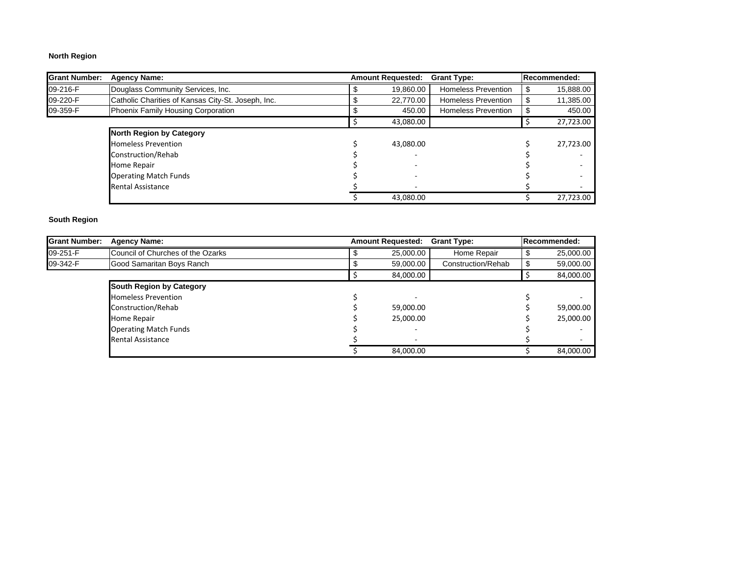# **North Region**

| <b>Grant Number:</b> | <b>Agency Name:</b>                                | <b>Amount Requested:</b> | <b>Grant Type:</b>         | <b>Recommended:</b> |
|----------------------|----------------------------------------------------|--------------------------|----------------------------|---------------------|
| 09-216-F             | Douglass Community Services, Inc.                  | 19.860.00                | <b>Homeless Prevention</b> | 15,888.00           |
| 09-220-F             | Catholic Charities of Kansas City-St. Joseph, Inc. | 22.770.00                | <b>Homeless Prevention</b> | 11,385.00           |
| 09-359-F             | Phoenix Family Housing Corporation                 | 450.00                   | <b>Homeless Prevention</b> | 450.00              |
|                      |                                                    | 43,080.00                |                            | 27,723.00           |
|                      | <b>North Region by Category</b>                    |                          |                            |                     |
|                      | <b>Homeless Prevention</b>                         | 43.080.00                |                            | 27,723.00           |
|                      | Construction/Rehab                                 |                          |                            |                     |
|                      | Home Repair                                        |                          |                            |                     |
|                      | <b>Operating Match Funds</b>                       |                          |                            |                     |
|                      | <b>Rental Assistance</b>                           |                          |                            |                     |
|                      |                                                    | 43,080.00                |                            | 27,723.00           |

### **South Region**

| <b>Grant Number:</b> | <b>Agency Name:</b>               | <b>Amount Requested:</b> | <b>Grant Type:</b> | <b>Recommended:</b> |
|----------------------|-----------------------------------|--------------------------|--------------------|---------------------|
| 09-251-F             | Council of Churches of the Ozarks | 25,000.00                | Home Repair        | 25,000.00           |
| 09-342-F             | Good Samaritan Boys Ranch         | 59,000.00                | Construction/Rehab | 59,000.00           |
|                      |                                   | 84,000.00                |                    | 84,000.00           |
|                      | <b>South Region by Category</b>   |                          |                    |                     |
|                      | <b>Homeless Prevention</b>        |                          |                    |                     |
|                      | Construction/Rehab                | 59,000.00                |                    | 59,000.00           |
|                      | Home Repair                       | 25,000.00                |                    | 25,000.00           |
|                      | <b>Operating Match Funds</b>      |                          |                    |                     |
|                      | <b>Rental Assistance</b>          |                          |                    |                     |
|                      |                                   | 84.000.00                |                    | 84.000.00           |